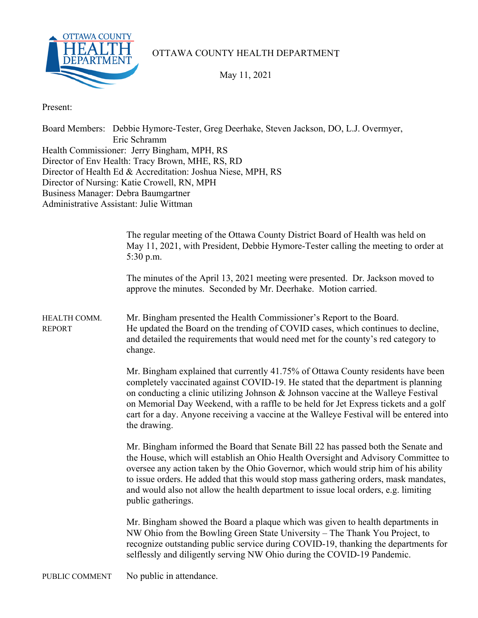

OTTAWA COUNTY HEALTH DEPARTMENT

May 11, 2021

Present:

Board Members: Debbie Hymore-Tester, Greg Deerhake, Steven Jackson, DO, L.J. Overmyer, Eric Schramm Health Commissioner: Jerry Bingham, MPH, RS Director of Env Health: Tracy Brown, MHE, RS, RD Director of Health Ed & Accreditation: Joshua Niese, MPH, RS Director of Nursing: Katie Crowell, RN, MPH Business Manager: Debra Baumgartner Administrative Assistant: Julie Wittman

|                               | The regular meeting of the Ottawa County District Board of Health was held on<br>May 11, 2021, with President, Debbie Hymore-Tester calling the meeting to order at<br>5:30 p.m.                                                                                                                                                                                                                                                                                    |
|-------------------------------|---------------------------------------------------------------------------------------------------------------------------------------------------------------------------------------------------------------------------------------------------------------------------------------------------------------------------------------------------------------------------------------------------------------------------------------------------------------------|
|                               | The minutes of the April 13, 2021 meeting were presented. Dr. Jackson moved to<br>approve the minutes. Seconded by Mr. Deerhake. Motion carried.                                                                                                                                                                                                                                                                                                                    |
| HEALTH COMM.<br><b>REPORT</b> | Mr. Bingham presented the Health Commissioner's Report to the Board.<br>He updated the Board on the trending of COVID cases, which continues to decline,<br>and detailed the requirements that would need met for the county's red category to<br>change.                                                                                                                                                                                                           |
|                               | Mr. Bingham explained that currently 41.75% of Ottawa County residents have been<br>completely vaccinated against COVID-19. He stated that the department is planning<br>on conducting a clinic utilizing Johnson & Johnson vaccine at the Walleye Festival<br>on Memorial Day Weekend, with a raffle to be held for Jet Express tickets and a golf<br>cart for a day. Anyone receiving a vaccine at the Walleye Festival will be entered into<br>the drawing.      |
|                               | Mr. Bingham informed the Board that Senate Bill 22 has passed both the Senate and<br>the House, which will establish an Ohio Health Oversight and Advisory Committee to<br>oversee any action taken by the Ohio Governor, which would strip him of his ability<br>to issue orders. He added that this would stop mass gathering orders, mask mandates,<br>and would also not allow the health department to issue local orders, e.g. limiting<br>public gatherings. |
|                               | Mr. Bingham showed the Board a plaque which was given to health departments in<br>NW Ohio from the Bowling Green State University - The Thank You Project, to<br>recognize outstanding public service during COVID-19, thanking the departments for<br>selflessly and diligently serving NW Ohio during the COVID-19 Pandemic.                                                                                                                                      |
| PUBLIC COMMENT                | No public in attendance.                                                                                                                                                                                                                                                                                                                                                                                                                                            |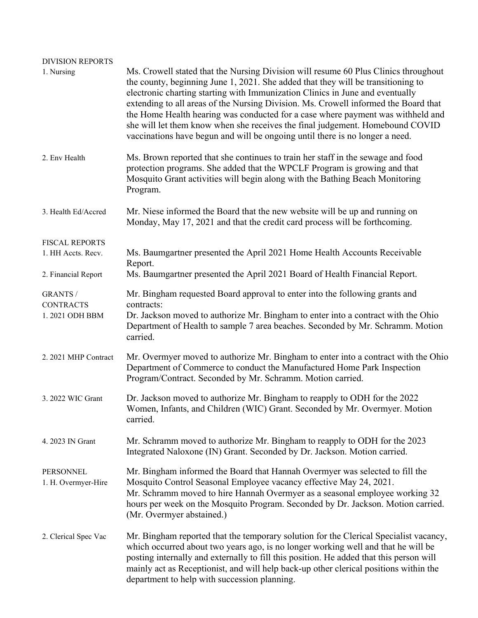| <b>DIVISION REPORTS</b><br>1. Nursing                              | Ms. Crowell stated that the Nursing Division will resume 60 Plus Clinics throughout<br>the county, beginning June 1, 2021. She added that they will be transitioning to<br>electronic charting starting with Immunization Clinics in June and eventually<br>extending to all areas of the Nursing Division. Ms. Crowell informed the Board that<br>the Home Health hearing was conducted for a case where payment was withheld and<br>she will let them know when she receives the final judgement. Homebound COVID<br>vaccinations have begun and will be ongoing until there is no longer a need. |  |  |
|--------------------------------------------------------------------|-----------------------------------------------------------------------------------------------------------------------------------------------------------------------------------------------------------------------------------------------------------------------------------------------------------------------------------------------------------------------------------------------------------------------------------------------------------------------------------------------------------------------------------------------------------------------------------------------------|--|--|
| 2. Env Health                                                      | Ms. Brown reported that she continues to train her staff in the sewage and food<br>protection programs. She added that the WPCLF Program is growing and that<br>Mosquito Grant activities will begin along with the Bathing Beach Monitoring<br>Program.                                                                                                                                                                                                                                                                                                                                            |  |  |
| 3. Health Ed/Accred                                                | Mr. Niese informed the Board that the new website will be up and running on<br>Monday, May 17, 2021 and that the credit card process will be forthcoming.                                                                                                                                                                                                                                                                                                                                                                                                                                           |  |  |
| <b>FISCAL REPORTS</b><br>1. HH Accts. Recv.<br>2. Financial Report | Ms. Baumgartner presented the April 2021 Home Health Accounts Receivable<br>Report.<br>Ms. Baumgartner presented the April 2021 Board of Health Financial Report.                                                                                                                                                                                                                                                                                                                                                                                                                                   |  |  |
| <b>GRANTS /</b><br><b>CONTRACTS</b><br>1.2021 ODH BBM              | Mr. Bingham requested Board approval to enter into the following grants and<br>contracts:<br>Dr. Jackson moved to authorize Mr. Bingham to enter into a contract with the Ohio<br>Department of Health to sample 7 area beaches. Seconded by Mr. Schramm. Motion<br>carried.                                                                                                                                                                                                                                                                                                                        |  |  |
| 2. 2021 MHP Contract                                               | Mr. Overmyer moved to authorize Mr. Bingham to enter into a contract with the Ohio<br>Department of Commerce to conduct the Manufactured Home Park Inspection<br>Program/Contract. Seconded by Mr. Schramm. Motion carried.                                                                                                                                                                                                                                                                                                                                                                         |  |  |
| 3. 2022 WIC Grant                                                  | Dr. Jackson moved to authorize Mr. Bingham to reapply to ODH for the 2022<br>Women, Infants, and Children (WIC) Grant. Seconded by Mr. Overmyer. Motion<br>carried.                                                                                                                                                                                                                                                                                                                                                                                                                                 |  |  |
| 4. 2023 IN Grant                                                   | Mr. Schramm moved to authorize Mr. Bingham to reapply to ODH for the 2023<br>Integrated Naloxone (IN) Grant. Seconded by Dr. Jackson. Motion carried.                                                                                                                                                                                                                                                                                                                                                                                                                                               |  |  |
| <b>PERSONNEL</b><br>1. H. Overmyer-Hire                            | Mr. Bingham informed the Board that Hannah Overmyer was selected to fill the<br>Mosquito Control Seasonal Employee vacancy effective May 24, 2021.<br>Mr. Schramm moved to hire Hannah Overmyer as a seasonal employee working 32<br>hours per week on the Mosquito Program. Seconded by Dr. Jackson. Motion carried.<br>(Mr. Overmyer abstained.)                                                                                                                                                                                                                                                  |  |  |
| 2. Clerical Spec Vac                                               | Mr. Bingham reported that the temporary solution for the Clerical Specialist vacancy,<br>which occurred about two years ago, is no longer working well and that he will be<br>posting internally and externally to fill this position. He added that this person will<br>mainly act as Receptionist, and will help back-up other clerical positions within the<br>department to help with succession planning.                                                                                                                                                                                      |  |  |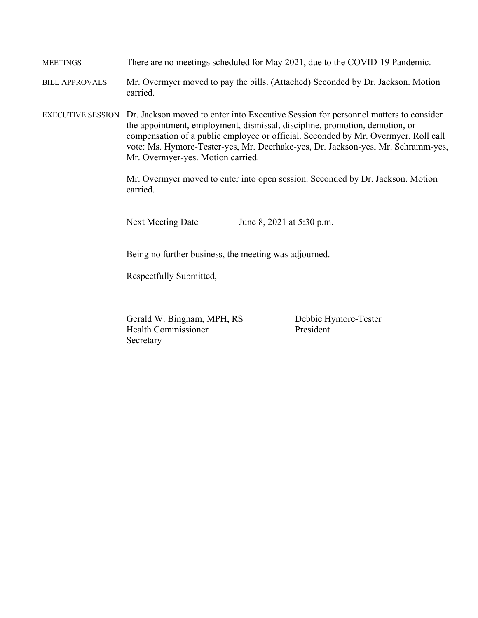MEETINGS There are no meetings scheduled for May 2021, due to the COVID-19 Pandemic.

BILL APPROVALS Mr. Overmyer moved to pay the bills. (Attached) Seconded by Dr. Jackson. Motion carried.

EXECUTIVE SESSION Dr. Jackson moved to enter into Executive Session for personnel matters to consider the appointment, employment, dismissal, discipline, promotion, demotion, or compensation of a public employee or official. Seconded by Mr. Overmyer. Roll call vote: Ms. Hymore-Tester-yes, Mr. Deerhake-yes, Dr. Jackson-yes, Mr. Schramm-yes, Mr. Overmyer-yes. Motion carried.

> Mr. Overmyer moved to enter into open session. Seconded by Dr. Jackson. Motion carried.

Next Meeting Date June 8, 2021 at 5:30 p.m.

Being no further business, the meeting was adjourned.

Respectfully Submitted,

Gerald W. Bingham, MPH, RS Debbie Hymore-Tester Health Commissioner President Secretary